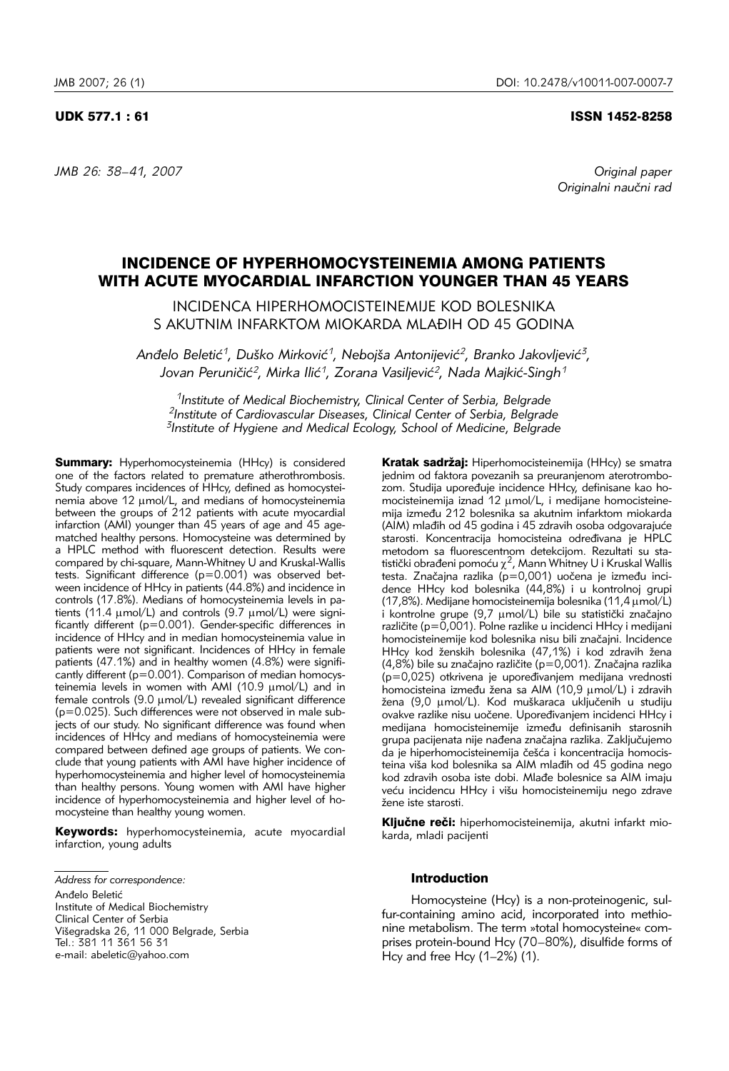# UDK 577.1 : 61 ISSN 1452-8258

*JMB 26: 38–41, 2007 Original paper*

Originalni naučni rad

# INCIDENCE OF HYPERHOMOCYSTEINEMIA AMONG PATIENTS WITH ACUTE MYOCARDIAL INFARCTION YOUNGER THAN 45 YEARS

INCIDENCA HIPERHOMOCISTEINEMIJE KOD BOLESNIKA S AKUTNIM INFARKTOM MIOKARDA MLAĐIH OD 45 GODINA

Anđelo Beletić<sup>1</sup>, Duško Mirković<sup>1</sup>, Nebojša Antonijević<sup>2</sup>, Branko Jakovljević<sup>3</sup>, Jovan Peruničić<sup>2</sup>, Mirka Ilić<sup>1</sup>, Zorana Vasiljević<sup>2</sup>, Nada Majkić-Singh<sup>1</sup>

*1Institute of Medical Biochemistry, Clinical Center of Serbia, Belgrade 2Institute of Cardiovascular Diseases, Clinical Center of Serbia, Belgrade 3Institute of Hygiene and Medical Ecology, School of Medicine, Belgrade*

Summary: Hyperhomocysteinemia (HHcy) is considered one of the factors related to premature atherothrombosis. Study compares incidences of HHcy, defined as homocysteinemia above 12 µmol/L, and medians of homocysteinemia between the groups of 212 patients with acute myocardial infarction (AMI) younger than 45 years of age and 45 agematched healthy persons. Homocysteine was determined by a HPLC method with fluorescent detection. Results were compared by chi-square, Mann-Whitney U and Kruskal-Wallis tests. Significant difference (p=0.001) was observed between incidence of HHcy in patients (44.8%) and incidence in controls (17.8%). Medians of homocysteinemia levels in patients (11.4  $\mu$ mol/L) and controls (9.7  $\mu$ mol/L) were significantly different (p=0.001). Gender-specific differences in incidence of HHcy and in median homocysteinemia value in patients were not significant. Incidences of HHcy in female patients (47.1%) and in healthy women (4.8%) were significantly different (p=0.001). Comparison of median homocysteinemia levels in women with AMI (10.9 µmol/L) and in female controls (9.0 μmol/L) revealed significant difference (p=0.025). Such differences were not observed in male subjects of our study. No significant difference was found when  $\frac{1}{1}$  incidences of HHcy and medians of homocysteinemia were compared between defined age groups of patients. We conclude that young patients with AMI have higher incidence of hyperhomocysteinemia and higher level of homocysteinemia than healthy persons. Young women with AMI have higher incidence of hyperhomocysteinemia and higher level of homocysteine than healthy young women.

Keywords: hyperhomocysteinemia, acute myocardial infarction, young adults

Anđelo Beletić Institute of Medical Biochemistry Clinical Center of Serbia Višegradska 26, 11 000 Belgrade, Serbia Tel.: 381 11 361 56 31 e-mail: abeletic@yahoo.com

Kratak sadržaj: Hiperhomocisteinemija (HHcy) se smatra jednim od faktora povezanih sa preuranjenom aterotrombozom. Studija upoređuje incidence HHcy, definisane kao homocisteinemija iznad 12 µmol/L, i medijane homocisteinemija između 212 bolesnika sa akutnim infarktom miokarda (AIM) mlađih od 45 godina i 45 zdravih osoba odgovarajuće starosti. Koncentracija homocisteina određivana je HPLC metodom sa fluorescentnom detekcijom. Rezultati su sta-<br>tistički obrađeni pomoću  $\chi^2$ , Mann Whitney U i Kruskal Wallis testa. Značajna razlika (p=0,001) uočena je između incidence HHcy kod bolesnika (44,8%) i u kontrolnoj grupi (17,8%). Medijane homocisteinemija bolesnika (11,4 mmol/L) i kontrolne grupe (9,7 µmol/L) bile su statistički značajno različite (p=0,001). Polne razlike u incidenci HHcy i medijani homocisteinemije kod bolesnika nisu bili značajni. Incidence HHcy kod ženskih bolesnika (47,1%) i kod zdravih žena (4,8%) bile su značajno različite (p=0,001). Značajna razlika  $(p=0,025)$  otkrivena je upoređivanjem medijana vrednosti homocisteina između žena sa AIM (10,9 µmol/L) i zdravih žena (9,0 µmol/L). Kod muškaraca uključenih u studiju ovakve razlike nisu uočene. Upoređivanjem incidenci HHcy i medijana homocisteinemije između definisanih starosnih grupa pacijenata nije nađena značajna razlika. Zaključujemo da je hiperhomocisteinemija češća i koncentracija homocisteina viša kod bolesnika sa AIM mlađih od 45 godina nego kod zdravih osoba iste dobi. Mlađe bolesnice sa AIM imaju veću incidencu HHcy i višu homocisteinemiju nego zdrave žene iste starosti.

Ključne reči: hiperhomocisteinemija, akutni infarkt miokarda, mladi pacijenti

#### Introduction

Homocysteine (Hcy) is a non-proteinogenic, sulfur-containing amino acid, incorporated into methionine metabolism. The term »total homocysteine« comprises protein-bound Hcy (70–80%), disulfide forms of Hcy and free Hcy (1–2%) (1).

*Address for correspondence:*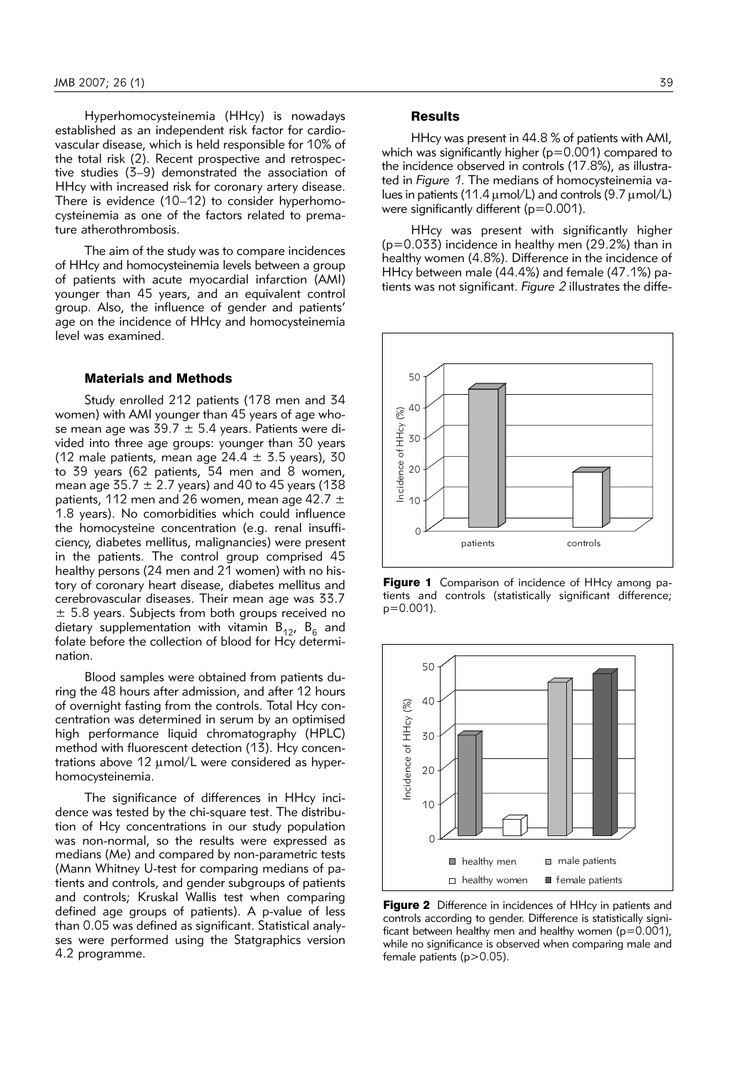Hyperhomocysteinemia (HHcy) is nowadays established as an independent risk factor for cardiovascular disease, which is held responsible for 10% of the total risk (2). Recent prospective and retrospective studies (3–9) demonstrated the association of HHcy with increased risk for coronary artery disease. There is evidence (10–12) to consider hyperhomocysteinemia as one of the factors related to premature atherothrombosis.

The aim of the study was to compare incidences of HHcy and homocysteinemia levels between a group of patients with acute myocardial infarction (AMI) younger than 45 years, and an equivalent control group. Also, the influence of gender and patients' age on the incidence of HHcy and homocysteinemia level was examined.

### Materials and Methods

Study enrolled 212 patients (178 men and 34 women) with AMI younger than 45 years of age whose mean age was 39.7  $\pm$  5.4 years. Patients were divided into three age groups: younger than 30 years (12 male patients, mean age  $24.4 \pm 3.5$  years), 30 to 39 years (62 patients, 54 men and 8 women, mean age  $35.7 \pm 2.7$  years) and 40 to 45 years (138 patients, 112 men and 26 women, mean age 42.7  $\pm$ 1.8 years). No comorbidities which could influence the homocysteine concentration (e.g. renal insufficiency, diabetes mellitus, malignancies) were present in the patients. The control group comprised 45 healthy persons (24 men and 21 women) with no history of coronary heart disease, diabetes mellitus and cerebrovascular diseases. Their mean age was 33.7  $\pm$  5.8 years. Subjects from both groups received no dietary supplementation with vitamin  $B_{12}$ ,  $B_6$  and folate before the collection of blood for Hcy determination.

Blood samples were obtained from patients during the 48 hours after admission, and after 12 hours of overnight fasting from the controls. Total Hcy concentration was determined in serum by an optimised high performance liquid chromatography (HPLC) method with fluorescent detection (13). Hcy concentrations above  $12 \mu$ mol/L were considered as hyperhomocysteinemia.

The significance of differences in HHcy incidence was tested by the chi-square test. The distribution of Hcy concentrations in our study population was non-normal, so the results were expressed as medians (Me) and compared by non-parametric tests (Mann Whitney U-test for comparing medians of patients and controls, and gender subgroups of patients and controls; Kruskal Wallis test when comparing defined age groups of patients). A p-value of less than 0.05 was defined as significant. Statistical analyses were performed using the Statgraphics version 4.2 programme.

# **Results**

HHcy was present in 44.8 % of patients with AMI, which was significantly higher ( $p=0.001$ ) compared to the incidence observed in controls (17.8%), as illustrated in *Figure 1*. The medians of homocysteinemia values in patients (11.4  $\mu$ mol/L) and controls (9.7  $\mu$ mol/L) were significantly different (p=0.001).

HHcy was present with significantly higher (p=0.033) incidence in healthy men (29.2%) than in healthy women (4.8%). Difference in the incidence of HHcy between male (44.4%) and female (47.1%) patients was not significant. *Figure 2* illustrates the diffe-



Figure 1 Comparison of incidence of HHcy among patients and controls (statistically significant difference;  $p=0.001$ ).



Figure 2 Difference in incidences of HHcy in patients and controls according to gender. Difference is statistically significant between healthy men and healthy women ( $p=0.001$ ), while no significance is observed when comparing male and female patients (p>0.05).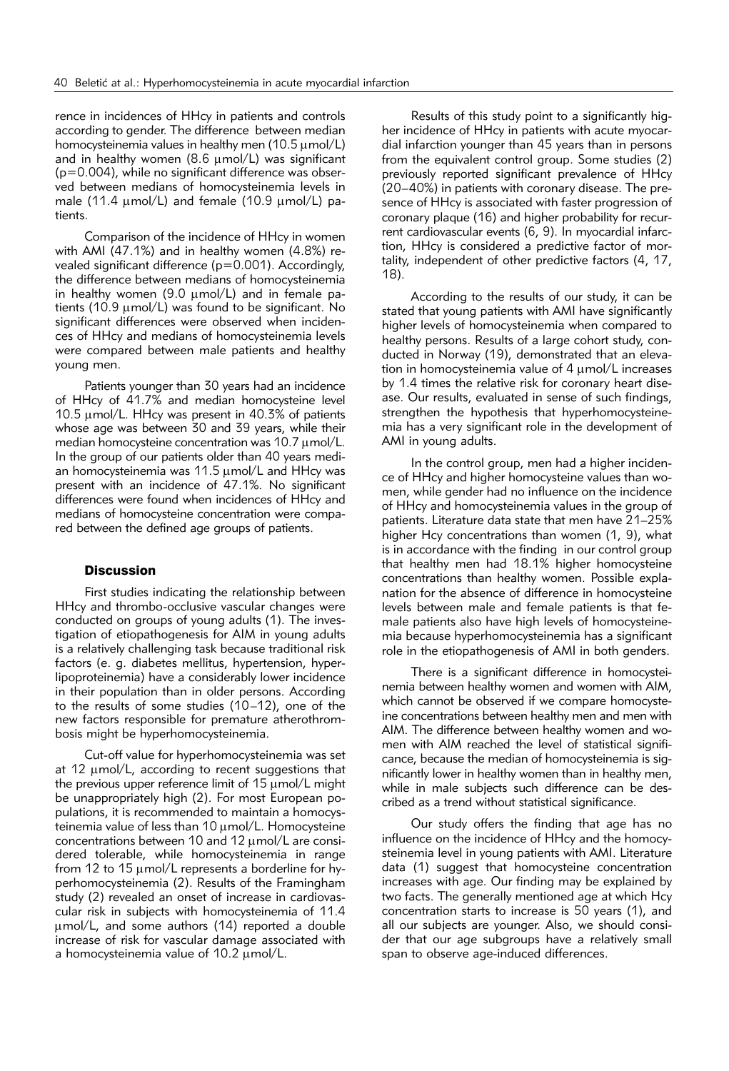rence in incidences of HHcy in patients and controls according to gender. The difference between median homocysteinemia values in healthy men (10.5  $\mu$ mol/L) and in healthy women (8.6  $\mu$ mol/L) was significant (p=0.004), while no significant difference was observed between medians of homocysteinemia levels in male (11.4  $\mu$ mol/L) and female (10.9  $\mu$ mol/L) patients.

Comparison of the incidence of HHcy in women with AMI (47.1%) and in healthy women (4.8%) revealed significant difference (p=0.001). Accordingly, the difference between medians of homocysteinemia in healthy women (9.0  $\mu$ mol/L) and in female patients (10.9  $\mu$ mol/L) was found to be significant. No significant differences were observed when incidences of HHcy and medians of homocysteinemia levels were compared between male patients and healthy young men.

Patients younger than 30 years had an incidence of HHcy of 41.7% and median homocysteine level 10.5  $\mu$ mol/L. HHcy was present in 40.3% of patients whose age was between 30 and 39 years, while their median homocysteine concentration was  $10.7 \mu$ mol/L. In the group of our patients older than 40 years median homocysteinemia was  $11.5 \mu$ mol/L and HHcy was present with an incidence of 47.1%. No significant differences were found when incidences of HHcy and medians of homocysteine concentration were compared between the defined age groups of patients.

# **Discussion**

First studies indicating the relationship between HHcy and thrombo-occlusive vascular changes were conducted on groups of young adults (1). The investigation of etiopathogenesis for AIM in young adults is a relatively challenging task because traditional risk factors (e. g. diabetes mellitus, hypertension, hyperlipoproteinemia) have a considerably lower incidence in their population than in older persons. According to the results of some studies (10–12), one of the new factors responsible for premature atherothrombosis might be hyperhomocysteinemia.

Cut-off value for hyperhomocysteinemia was set at 12  $\mu$ mol/L, according to recent suggestions that the previous upper reference limit of  $15 \mu$ mol/L might be unappropriately high (2). For most European populations, it is recommended to maintain a homocysteinemia value of less than  $10 \mu$ mol/L. Homocysteine concentrations between 10 and 12  $\mu$  mol/L are considered tolerable, while homocysteinemia in range from 12 to 15  $\mu$ mol/L represents a borderline for hyperhomocysteinemia (2). Results of the Framingham study (2) revealed an onset of increase in cardiovascular risk in subjects with homocysteinemia of 11.4 mmol/L, and some authors (14) reported a double increase of risk for vascular damage associated with a homocysteinemia value of  $10.2 \mu$ mol/L.

Results of this study point to a significantly higher incidence of HHcy in patients with acute myocardial infarction younger than 45 years than in persons from the equivalent control group. Some studies (2) previously reported significant prevalence of HHcy (20–40%) in patients with coronary disease. The presence of HHcy is associated with faster progression of coronary plaque (16) and higher probability for recurrent cardiovascular events (6, 9). In myocardial infarction, HHcy is considered a predictive factor of mortality, independent of other predictive factors (4, 17, 18).

According to the results of our study, it can be stated that young patients with AMI have significantly higher levels of homocysteinemia when compared to healthy persons. Results of a large cohort study, conducted in Norway (19), demonstrated that an elevation in homocysteinemia value of 4 umol/L increases by 1.4 times the relative risk for coronary heart disease. Our results, evaluated in sense of such findings, strengthen the hypothesis that hyperhomocysteinemia has a very significant role in the development of AMI in young adults.

In the control group, men had a higher incidence of HHcy and higher homocysteine values than women, while gender had no influence on the incidence of HHcy and homocysteinemia values in the group of patients. Literature data state that men have 21–25% higher Hcy concentrations than women (1, 9), what is in accordance with the finding in our control group that healthy men had 18.1% higher homocysteine concentrations than healthy women. Possible explanation for the absence of difference in homocysteine levels between male and female patients is that female patients also have high levels of homocysteinemia because hyperhomocysteinemia has a significant role in the etiopathogenesis of AMI in both genders.

There is a significant difference in homocysteinemia between healthy women and women with AIM, which cannot be observed if we compare homocysteine concentrations between healthy men and men with AIM. The difference between healthy women and women with AIM reached the level of statistical significance, because the median of homocysteinemia is significantly lower in healthy women than in healthy men, while in male subjects such difference can be described as a trend without statistical significance.

Our study offers the finding that age has no influence on the incidence of HHcy and the homocysteinemia level in young patients with AMI. Literature data (1) suggest that homocysteine concentration increases with age. Our finding may be explained by two facts. The generally mentioned age at which Hcy concentration starts to increase is 50 years (1), and all our subjects are younger. Also, we should consider that our age subgroups have a relatively small span to observe age-induced differences.